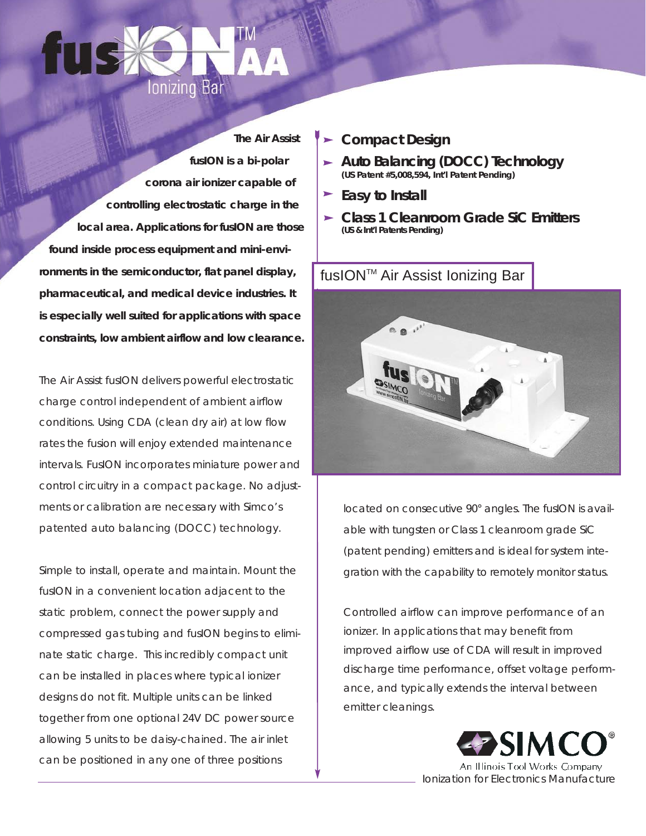

*The Air Assist fusION is a bi-polar corona air ionizer capable of controlling electrostatic charge in the local area. Applications for fusION are those found inside process equipment and mini-environments in the semiconductor, flat panel display, pharmaceutical, and medical device industries. It is especially well suited for applications with space constraints, low ambient airflow and low clearance.*

The Air Assist fusION delivers powerful electrostatic charge control independent of ambient airflow conditions. Using CDA (clean dry air) at low flow rates the fusion will enjoy extended maintenance intervals. FusION incorporates miniature power and control circuitry in a compact package. No adjustments or calibration are necessary with Simco's patented auto balancing (DOCC) technology.

Simple to install, operate and maintain. Mount the fusION in a convenient location adjacent to the static problem, connect the power supply and compressed gas tubing and fusION begins to eliminate static charge. This incredibly compact unit can be installed in places where typical ionizer designs do not fit. Multiple units can be linked together from one optional 24V DC power source allowing 5 units to be daisy-chained. The air inlet can be positioned in any one of three positions

### *Compact Design*

- *Auto Balancing (DOCC) Technology (US Patent #5,008,594, Int'l Patent Pending)*
- *Easy to Install*
- *Class 1 Cleanroom Grade SiC Emitters (US & Int'l Patents Pending)*



located on consecutive 90° angles. The fusION is available with tungsten or Class 1 cleanroom grade SiC (patent pending) emitters and is ideal for system integration with the capability to remotely monitor status.

Controlled airflow can improve performance of an ionizer. In applications that may benefit from improved airflow use of CDA will result in improved discharge time performance, offset voltage performance, and typically extends the interval between emitter cleanings.



An Illinois Tool Works Company *Ionization for Electronics Manufacture*